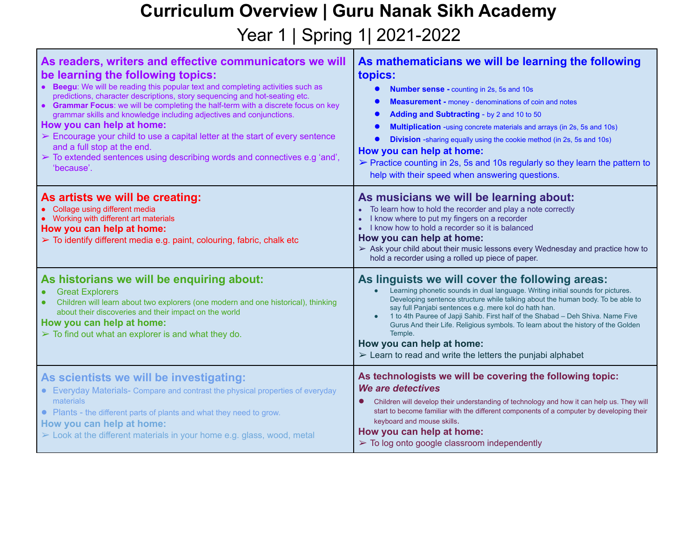## **Curriculum Overview | Guru Nanak Sikh Academy**

Year 1 | Spring 1 | 2021-2022

| As readers, writers and effective communicators we will<br>be learning the following topics:<br>• Beegu: We will be reading this popular text and completing activities such as<br>predictions, character descriptions, story sequencing and hot-seating etc.<br>• Grammar Focus: we will be completing the half-term with a discrete focus on key<br>grammar skills and knowledge including adjectives and conjunctions.<br>How you can help at home:<br>$\triangleright$ Encourage your child to use a capital letter at the start of every sentence<br>and a full stop at the end.<br>$\triangleright$ To extended sentences using describing words and connectives e.g 'and',<br>'because'. | As mathematicians we will be learning the following<br>topics:<br><b>Number sense - counting in 2s, 5s and 10s</b><br><b>Measurement - money - denominations of coin and notes</b><br>Adding and Subtracting - by 2 and 10 to 50<br>Multiplication -using concrete materials and arrays (in 2s, 5s and 10s)<br><b>Division</b> -sharing equally using the cookie method (in 2s, 5s and 10s)<br>How you can help at home:<br>> Practice counting in 2s, 5s and 10s regularly so they learn the pattern to<br>help with their speed when answering questions.                              |
|-------------------------------------------------------------------------------------------------------------------------------------------------------------------------------------------------------------------------------------------------------------------------------------------------------------------------------------------------------------------------------------------------------------------------------------------------------------------------------------------------------------------------------------------------------------------------------------------------------------------------------------------------------------------------------------------------|------------------------------------------------------------------------------------------------------------------------------------------------------------------------------------------------------------------------------------------------------------------------------------------------------------------------------------------------------------------------------------------------------------------------------------------------------------------------------------------------------------------------------------------------------------------------------------------|
| As artists we will be creating:<br>• Collage using different media<br>Working with different art materials<br>How you can help at home:<br>$\triangleright$ To identify different media e.g. paint, colouring, fabric, chalk etc                                                                                                                                                                                                                                                                                                                                                                                                                                                                | As musicians we will be learning about:<br>• To learn how to hold the recorder and play a note correctly<br>I know where to put my fingers on a recorder<br>I know how to hold a recorder so it is balanced<br>How you can help at home:<br>> Ask your child about their music lessons every Wednesday and practice how to<br>hold a recorder using a rolled up piece of paper.                                                                                                                                                                                                          |
| As historians we will be enquiring about:<br><b>Great Explorers</b><br>Children will learn about two explorers (one modern and one historical), thinking<br>about their discoveries and their impact on the world<br>How you can help at home:<br>$\triangleright$ To find out what an explorer is and what they do.                                                                                                                                                                                                                                                                                                                                                                            | As linguists we will cover the following areas:<br>Learning phonetic sounds in dual language. Writing initial sounds for pictures.<br>$\bullet$<br>Developing sentence structure while talking about the human body. To be able to<br>say full Panjabi sentences e.g. mere kol do hath han.<br>1 to 4th Pauree of Japji Sahib. First half of the Shabad - Deh Shiva. Name Five<br>Gurus And their Life. Religious symbols. To learn about the history of the Golden<br>Temple.<br>How you can help at home:<br>$\triangleright$ Learn to read and write the letters the punjabi alphabet |
| As scientists we will be investigating:<br>• Everyday Materials- Compare and contrast the physical properties of everyday<br>materials<br>• Plants - the different parts of plants and what they need to grow.<br>How you can help at home:<br>$\triangleright$ Look at the different materials in your home e.g. glass, wood, metal                                                                                                                                                                                                                                                                                                                                                            | As technologists we will be covering the following topic:<br>We are detectives<br>Children will develop their understanding of technology and how it can help us. They will<br>start to become familiar with the different components of a computer by developing their<br>keyboard and mouse skills.<br>How you can help at home:<br>$\triangleright$ To log onto google classroom independently                                                                                                                                                                                        |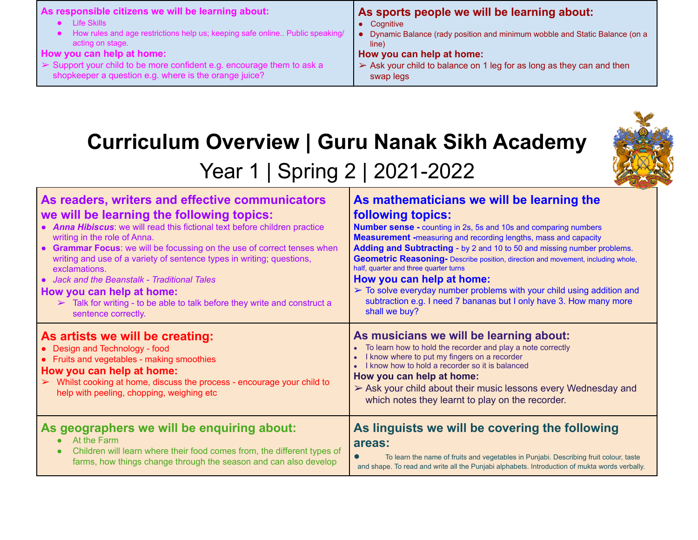## **Curriculum Overview | Guru Nanak Sikh Academy**



## Year 1 | Spring 2 | 2021-2022

| As readers, writers and effective communicators<br>we will be learning the following topics:<br>• Anna Hibiscus: we will read this fictional text before children practice<br>writing in the role of Anna.<br>• Grammar Focus: we will be focussing on the use of correct tenses when<br>writing and use of a variety of sentence types in writing; questions,<br>exclamations.<br>• Jack and the Beanstalk - Traditional Tales<br>How you can help at home:<br>$\triangleright$ Talk for writing - to be able to talk before they write and construct a<br>sentence correctly. | As mathematicians we will be learning the<br><b>following topics:</b><br><b>Number sense - counting in 2s, 5s and 10s and comparing numbers</b><br><b>Measurement</b> -measuring and recording lengths, mass and capacity<br>Adding and Subtracting - by 2 and 10 to 50 and missing number problems.<br>Geometric Reasoning- Describe position, direction and movement, including whole,<br>half, quarter and three quarter turns<br>How you can help at home:<br>$\triangleright$ To solve everyday number problems with your child using addition and<br>subtraction e.g. I need 7 bananas but I only have 3. How many more<br>shall we buy? |
|---------------------------------------------------------------------------------------------------------------------------------------------------------------------------------------------------------------------------------------------------------------------------------------------------------------------------------------------------------------------------------------------------------------------------------------------------------------------------------------------------------------------------------------------------------------------------------|------------------------------------------------------------------------------------------------------------------------------------------------------------------------------------------------------------------------------------------------------------------------------------------------------------------------------------------------------------------------------------------------------------------------------------------------------------------------------------------------------------------------------------------------------------------------------------------------------------------------------------------------|
| As artists we will be creating:<br>• Design and Technology - food<br>• Fruits and vegetables - making smoothies<br>How you can help at home:<br>Whilst cooking at home, discuss the process - encourage your child to<br>help with peeling, chopping, weighing etc                                                                                                                                                                                                                                                                                                              | As musicians we will be learning about:<br>• To learn how to hold the recorder and play a note correctly<br>I know where to put my fingers on a recorder<br>I know how to hold a recorder so it is balanced<br>How you can help at home:<br>$\triangleright$ Ask your child about their music lessons every Wednesday and<br>which notes they learnt to play on the recorder.                                                                                                                                                                                                                                                                  |
| As geographers we will be enquiring about:<br>At the Farm<br>Children will learn where their food comes from, the different types of<br>farms, how things change through the season and can also develop                                                                                                                                                                                                                                                                                                                                                                        | As linguists we will be covering the following<br>areas:<br>To learn the name of fruits and vegetables in Punjabi. Describing fruit colour, taste<br>$\bullet$<br>and shape. To read and write all the Punjabi alphabets. Introduction of mukta words verbally.                                                                                                                                                                                                                                                                                                                                                                                |